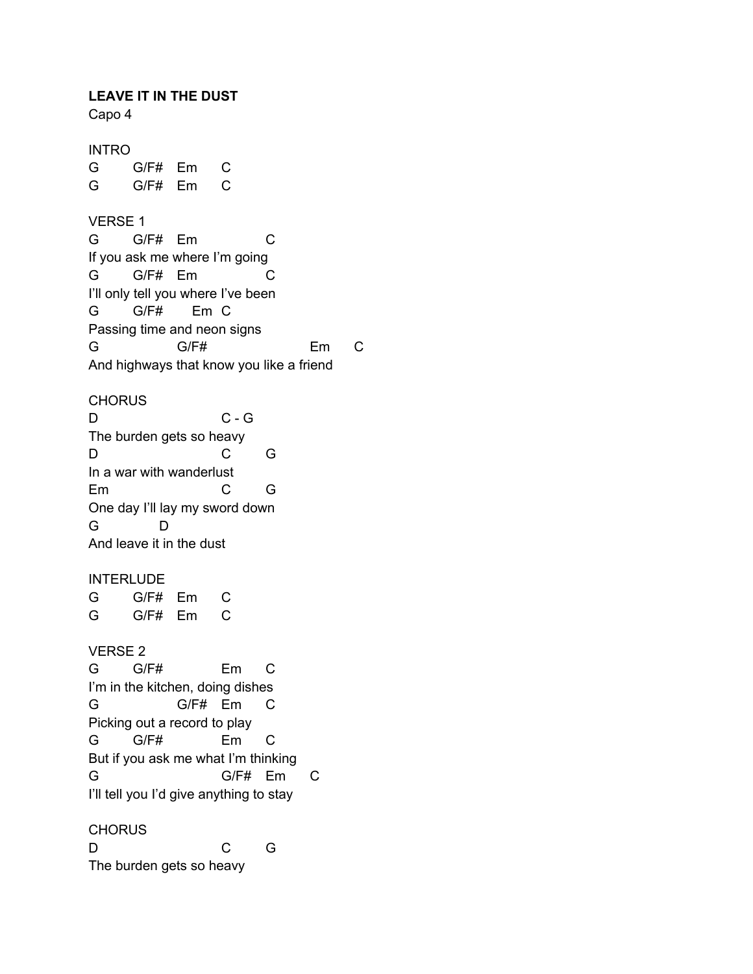**LEAVE IT IN THE DUST**

Capo 4

INTRO G G/F# Em C G G/F# Em C VERSE 1 G G/F# Em C If you ask me where I'm going G G/F# Em C I'll only tell you where I've been G G/F# Em C Passing time and neon signs G G/F# Em C And highways that know you like a friend **CHORUS** D C - G The burden gets so heavy D C G In a war with wanderlust Em C G One day I'll lay my sword down G D And leave it in the dust **INTERLUDE** G G/F# Em C G G/F# Em C VERSE 2 G G/F# Em C I'm in the kitchen, doing dishes G G/F# Em C Picking out a record to play G G/F# Em C But if you ask me what I'm thinking G G/F# Em C I'll tell you I'd give anything to stay **CHORUS** D C G

The burden gets so heavy